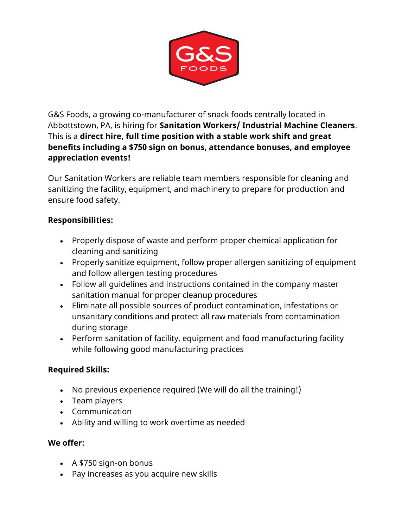

G&S Foods, a growing co-manufacturer of snack foods centrally located in Abbottstown, PA, is hiring for **Sanitation Workers/ Industrial Machine Cleaners**. This is a **direct hire, full time position with a stable work shift and great benefits including a \$750 sign on bonus, attendance bonuses, and employee appreciation events!**

Our Sanitation Workers are reliable team members responsible for cleaning and sanitizing the facility, equipment, and machinery to prepare for production and ensure food safety.

## **Responsibilities:**

- Properly dispose of waste and perform proper chemical application for cleaning and sanitizing
- Properly sanitize equipment, follow proper allergen sanitizing of equipment and follow allergen testing procedures
- Follow all guidelines and instructions contained in the company master sanitation manual for proper cleanup procedures
- Eliminate all possible sources of product contamination, infestations or unsanitary conditions and protect all raw materials from contamination during storage
- Perform sanitation of facility, equipment and food manufacturing facility while following good manufacturing practices

## **Required Skills:**

- No previous experience required (We will do all the training!)
- Team players
- Communication
- Ability and willing to work overtime as needed

## **We offer:**

- A \$750 sign-on bonus
- Pay increases as you acquire new skills